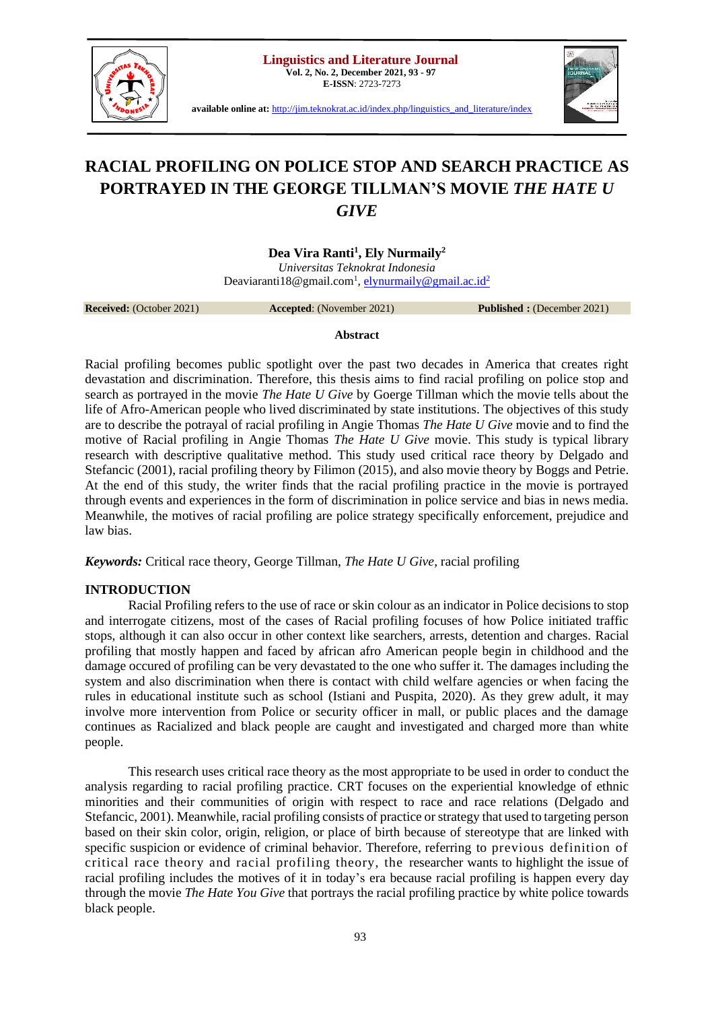

**E-ISSN**: 2723-7273



**available online at:** [http://jim.teknokrat.ac.id/index.php/linguistics\\_and\\_literature/index](http://jim.teknokrat.ac.id/index.php/linguistics_and_literature/index)

# **RACIAL PROFILING ON POLICE STOP AND SEARCH PRACTICE AS PORTRAYED IN THE GEORGE TILLMAN'S MOVIE** *THE HATE U GIVE*

**Dea Vira Ranti<sup>1</sup> , Ely Nurmaily<sup>2</sup>**

*Universitas Teknokrat Indonesia*  Deaviaranti18@gmail.com<sup>1</sup>, <u>elynurmaily@gmail.ac.id<sup>2</sup></u>

**Received:** (October 2021) **Accepted**: (November 2021) **Published :** (December 2021)

#### **Abstract**

Racial profiling becomes public spotlight over the past two decades in America that creates right devastation and discrimination. Therefore, this thesis aims to find racial profiling on police stop and search as portrayed in the movie *The Hate U Give* by Goerge Tillman which the movie tells about the life of Afro-American people who lived discriminated by state institutions. The objectives of this study are to describe the potrayal of racial profiling in Angie Thomas *The Hate U Give* movie and to find the motive of Racial profiling in Angie Thomas *The Hate U Give* movie. This study is typical library research with descriptive qualitative method. This study used critical race theory by Delgado and Stefancic (2001), racial profiling theory by Filimon (2015), and also movie theory by Boggs and Petrie. At the end of this study, the writer finds that the racial profiling practice in the movie is portrayed through events and experiences in the form of discrimination in police service and bias in news media. Meanwhile, the motives of racial profiling are police strategy specifically enforcement, prejudice and law bias.

*Keywords:* Critical race theory, George Tillman, *The Hate U Give*, racial profiling

# **INTRODUCTION**

Racial Profiling refers to the use of race or skin colour as an indicator in Police decisions to stop and interrogate citizens, most of the cases of Racial profiling focuses of how Police initiated traffic stops, although it can also occur in other context like searchers, arrests, detention and charges. Racial profiling that mostly happen and faced by african afro American people begin in childhood and the damage occured of profiling can be very devastated to the one who suffer it. The damages including the system and also discrimination when there is contact with child welfare agencies or when facing the rules in educational institute such as school (Istiani and Puspita, 2020). As they grew adult, it may involve more intervention from Police or security officer in mall, or public places and the damage continues as Racialized and black people are caught and investigated and charged more than white people.

This research uses critical race theory as the most appropriate to be used in order to conduct the analysis regarding to racial profiling practice. CRT focuses on the experiential knowledge of ethnic minorities and their communities of origin with respect to race and race relations (Delgado and Stefancic, 2001). Meanwhile, racial profiling consists of practice or strategy that used to targeting person based on their skin color, origin, religion, or place of birth because of stereotype that are linked with specific suspicion or evidence of criminal behavior. Therefore, referring to previous definition of critical race theory and racial profiling theory, the researcher wants to highlight the issue of racial profiling includes the motives of it in today's era because racial profiling is happen every day through the movie *The Hate You Give* that portrays the racial profiling practice by white police towards black people.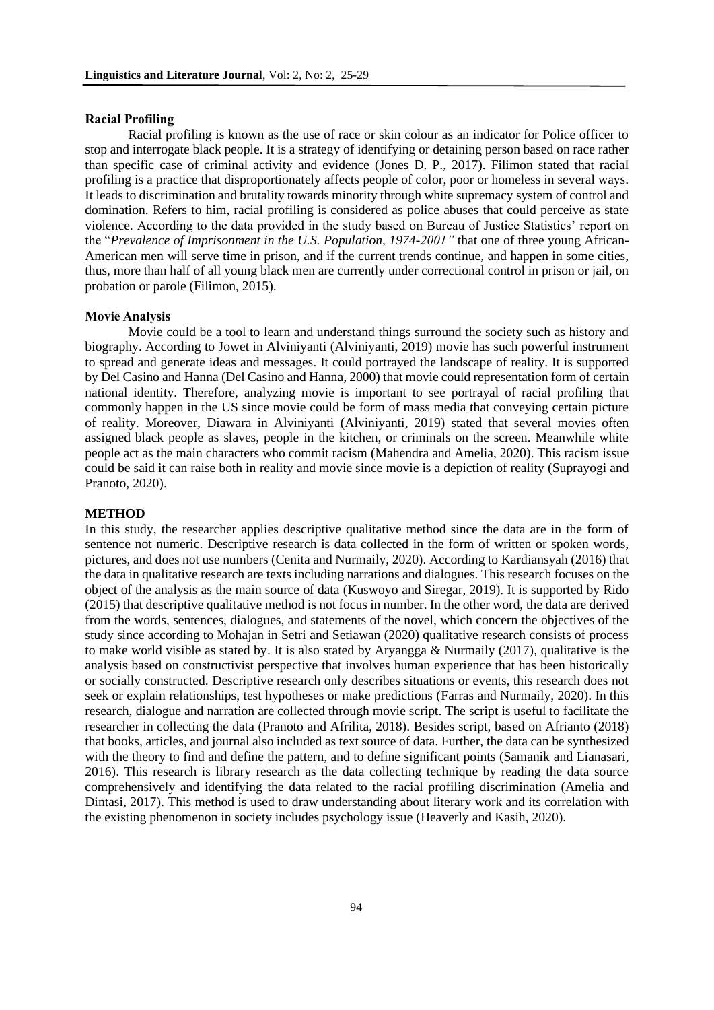#### **Racial Profiling**

Racial profiling is known as the use of race or skin colour as an indicator for Police officer to stop and interrogate black people. It is a strategy of identifying or detaining person based on race rather than specific case of criminal activity and evidence (Jones D. P., 2017). Filimon stated that racial profiling is a practice that disproportionately affects people of color, poor or homeless in several ways. It leads to discrimination and brutality towards minority through white supremacy system of control and domination. Refers to him, racial profiling is considered as police abuses that could perceive as state violence. According to the data provided in the study based on Bureau of Justice Statistics' report on the "*Prevalence of Imprisonment in the U.S. Population, 1974-2001"* that one of three young African-American men will serve time in prison, and if the current trends continue, and happen in some cities, thus, more than half of all young black men are currently under correctional control in prison or jail, on probation or parole (Filimon, 2015).

#### **Movie Analysis**

Movie could be a tool to learn and understand things surround the society such as history and biography. According to Jowet in Alviniyanti (Alviniyanti, 2019) movie has such powerful instrument to spread and generate ideas and messages. It could portrayed the landscape of reality. It is supported by Del Casino and Hanna (Del Casino and Hanna, 2000) that movie could representation form of certain national identity. Therefore, analyzing movie is important to see portrayal of racial profiling that commonly happen in the US since movie could be form of mass media that conveying certain picture of reality. Moreover, Diawara in Alviniyanti (Alviniyanti, 2019) stated that several movies often assigned black people as slaves, people in the kitchen, or criminals on the screen. Meanwhile white people act as the main characters who commit racism (Mahendra and Amelia, 2020). This racism issue could be said it can raise both in reality and movie since movie is a depiction of reality (Suprayogi and Pranoto, 2020).

#### **METHOD**

In this study, the researcher applies descriptive qualitative method since the data are in the form of sentence not numeric. Descriptive research is data collected in the form of written or spoken words, pictures, and does not use numbers (Cenita and Nurmaily, 2020). According to Kardiansyah (2016) that the data in qualitative research are texts including narrations and dialogues. This research focuses on the object of the analysis as the main source of data (Kuswoyo and Siregar, 2019). It is supported by Rido (2015) that descriptive qualitative method is not focus in number. In the other word, the data are derived from the words, sentences, dialogues, and statements of the novel, which concern the objectives of the study since according to Mohajan in Setri and Setiawan (2020) qualitative research consists of process to make world visible as stated by. It is also stated by Aryangga & Nurmaily (2017), qualitative is the analysis based on constructivist perspective that involves human experience that has been historically or socially constructed. Descriptive research only describes situations or events, this research does not seek or explain relationships, test hypotheses or make predictions (Farras and Nurmaily, 2020). In this research, dialogue and narration are collected through movie script. The script is useful to facilitate the researcher in collecting the data (Pranoto and Afrilita, 2018). Besides script, based on Afrianto (2018) that books, articles, and journal also included as text source of data. Further, the data can be synthesized with the theory to find and define the pattern, and to define significant points (Samanik and Lianasari, 2016). This research is library research as the data collecting technique by reading the data source comprehensively and identifying the data related to the racial profiling discrimination (Amelia and Dintasi, 2017). This method is used to draw understanding about literary work and its correlation with the existing phenomenon in society includes psychology issue (Heaverly and Kasih, 2020).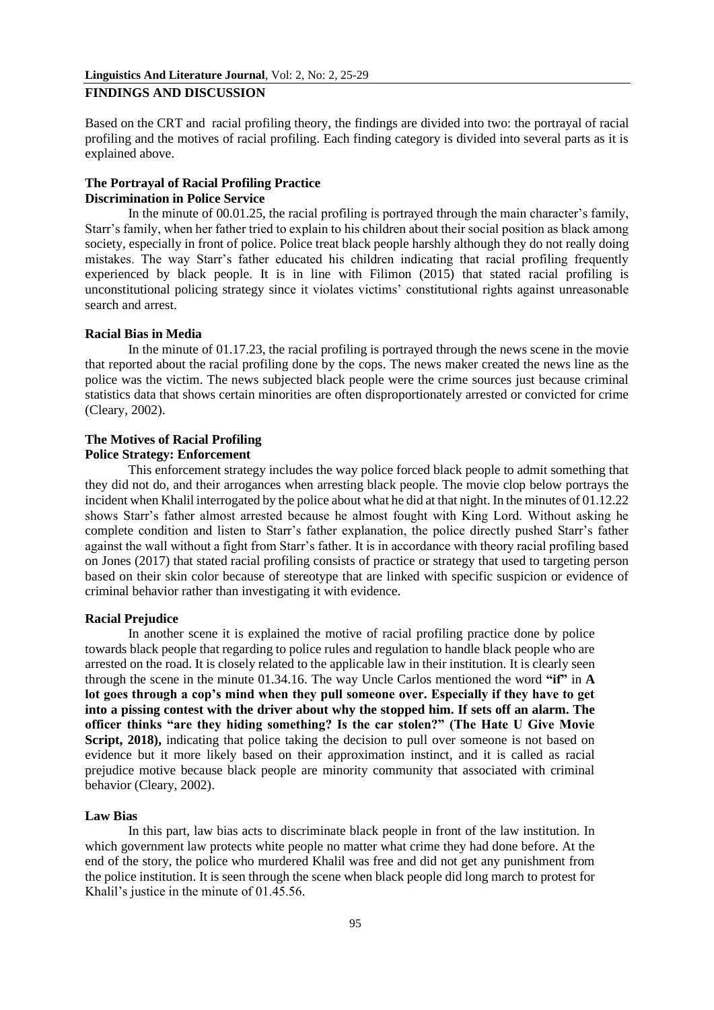Based on the CRT and racial profiling theory, the findings are divided into two: the portrayal of racial profiling and the motives of racial profiling. Each finding category is divided into several parts as it is explained above.

# **The Portrayal of Racial Profiling Practice Discrimination in Police Service**

In the minute of 00.01.25, the racial profiling is portrayed through the main character's family, Starr's family, when her father tried to explain to his children about their social position as black among society, especially in front of police. Police treat black people harshly although they do not really doing mistakes. The way Starr's father educated his children indicating that racial profiling frequently experienced by black people. It is in line with Filimon (2015) that stated racial profiling is unconstitutional policing strategy since it violates victims' constitutional rights against unreasonable search and arrest.

# **Racial Bias in Media**

In the minute of 01.17.23, the racial profiling is portrayed through the news scene in the movie that reported about the racial profiling done by the cops. The news maker created the news line as the police was the victim. The news subjected black people were the crime sources just because criminal statistics data that shows certain minorities are often disproportionately arrested or convicted for crime (Cleary, 2002).

## **The Motives of Racial Profiling Police Strategy: Enforcement**

This enforcement strategy includes the way police forced black people to admit something that they did not do, and their arrogances when arresting black people. The movie clop below portrays the incident when Khalil interrogated by the police about what he did at that night. In the minutes of 01.12.22 shows Starr's father almost arrested because he almost fought with King Lord. Without asking he complete condition and listen to Starr's father explanation, the police directly pushed Starr's father against the wall without a fight from Starr's father. It is in accordance with theory racial profiling based on Jones (2017) that stated racial profiling consists of practice or strategy that used to targeting person based on their skin color because of stereotype that are linked with specific suspicion or evidence of criminal behavior rather than investigating it with evidence.

# **Racial Prejudice**

In another scene it is explained the motive of racial profiling practice done by police towards black people that regarding to police rules and regulation to handle black people who are arrested on the road. It is closely related to the applicable law in their institution. It is clearly seen through the scene in the minute 01.34.16. The way Uncle Carlos mentioned the word **"if"** in **A lot goes through a cop's mind when they pull someone over. Especially if they have to get into a pissing contest with the driver about why the stopped him. If sets off an alarm. The officer thinks "are they hiding something? Is the car stolen?" (The Hate U Give Movie**  Script, 2018), indicating that police taking the decision to pull over someone is not based on evidence but it more likely based on their approximation instinct, and it is called as racial prejudice motive because black people are minority community that associated with criminal behavior (Cleary, 2002).

## **Law Bias**

In this part, law bias acts to discriminate black people in front of the law institution. In which government law protects white people no matter what crime they had done before. At the end of the story, the police who murdered Khalil was free and did not get any punishment from the police institution. It is seen through the scene when black people did long march to protest for Khalil's justice in the minute of 01.45.56.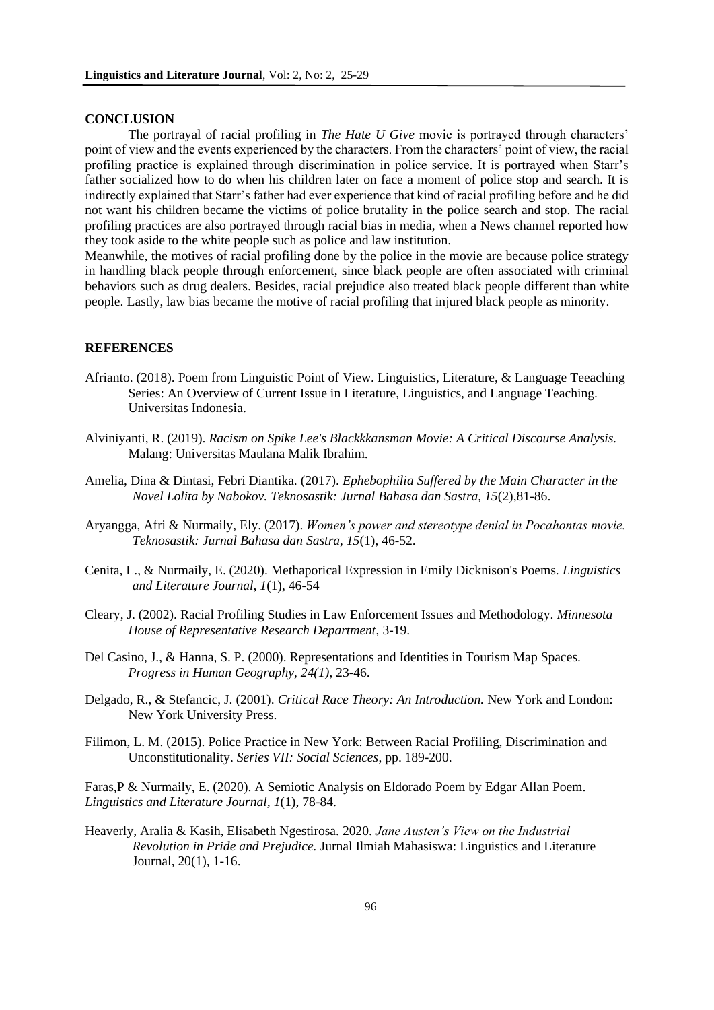### **CONCLUSION**

The portrayal of racial profiling in *The Hate U Give* movie is portrayed through characters' point of view and the events experienced by the characters. From the characters' point of view, the racial profiling practice is explained through discrimination in police service. It is portrayed when Starr's father socialized how to do when his children later on face a moment of police stop and search. It is indirectly explained that Starr's father had ever experience that kind of racial profiling before and he did not want his children became the victims of police brutality in the police search and stop. The racial profiling practices are also portrayed through racial bias in media, when a News channel reported how they took aside to the white people such as police and law institution.

Meanwhile, the motives of racial profiling done by the police in the movie are because police strategy in handling black people through enforcement, since black people are often associated with criminal behaviors such as drug dealers. Besides, racial prejudice also treated black people different than white people. Lastly, law bias became the motive of racial profiling that injured black people as minority.

## **REFERENCES**

- Afrianto. (2018). Poem from Linguistic Point of View. Linguistics, Literature, & Language Teeaching Series: An Overview of Current Issue in Literature, Linguistics, and Language Teaching. Universitas Indonesia.
- Alviniyanti, R. (2019). *Racism on Spike Lee's Blackkkansman Movie: A Critical Discourse Analysis.* Malang: Universitas Maulana Malik Ibrahim.
- Amelia, Dina & Dintasi, Febri Diantika. (2017). *Ephebophilia Suffered by the Main Character in the Novel Lolita by Nabokov. Teknosastik: Jurnal Bahasa dan Sastra, 15*(2),81-86.
- Aryangga, Afri & Nurmaily, Ely. (2017). *Women's power and stereotype denial in Pocahontas movie. Teknosastik: Jurnal Bahasa dan Sastra, 15*(1), 46-52.
- Cenita, L., & Nurmaily, E. (2020). Methaporical Expression in Emily Dicknison's Poems. *Linguistics and Literature Journal, 1*(1), 46-54
- Cleary, J. (2002). Racial Profiling Studies in Law Enforcement Issues and Methodology. *Minnesota House of Representative Research Department*, 3-19.
- Del Casino, J., & Hanna, S. P. (2000). Representations and Identities in Tourism Map Spaces. *Progress in Human Geography, 24(1)*, 23-46.
- Delgado, R., & Stefancic, J. (2001). *Critical Race Theory: An Introduction.* New York and London: New York University Press.
- Filimon, L. M. (2015). Police Practice in New York: Between Racial Profiling, Discrimination and Unconstitutionality. *Series VII: Social Sciences*, pp. 189-200.

Faras,P & Nurmaily, E. (2020). A Semiotic Analysis on Eldorado Poem by Edgar Allan Poem. *Linguistics and Literature Journal, 1*(1), 78-84.

Heaverly, Aralia & Kasih, Elisabeth Ngestirosa. 2020. *Jane Austen's View on the Industrial Revolution in Pride and Prejudice.* Jurnal Ilmiah Mahasiswa: Linguistics and Literature Journal, 20(1), 1-16.